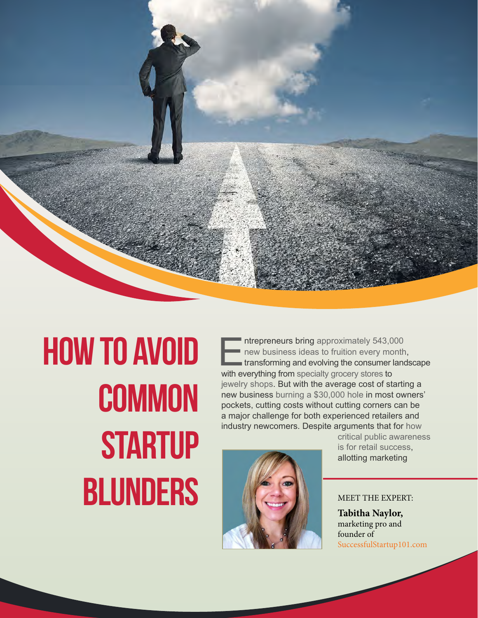

## **How to Avoid Common Startup BLUNDERS** MEET THE EXPERT:

Intrepreneurs bring approximately 543,000<br>
new business ideas to fruition every month<br>
transforming and evolving the consumer land<br>
with everything from specialty grocery stores to [new business ideas to fruition every month,](http://www.forbes.com/sites/jasonnazar/2013/09/09/16-surprising-statistics-about-small-businesses/) transforming and evolving the consumer landscape with everything from [specialty grocery stores](http://blog.kimcorealty.com/2014/05/building-a-bridge-to-asian-american-communities/) to [jewelry shops.](http://blog.kimcorealty.com/2014/03/the-facets-of-being-an-entrepreneur-in-the-jewelry-industry/) But with the average cost of starting a new business [burning a \\$30,000 hole](http://www.sba.gov/blogs/how-estimate-cost-starting-business-scratch) in most owners' pockets, cutting costs without cutting corners can be a major challenge for both experienced retailers and industry newcomers. Despite arguments that for [how](http://smallbusiness.chron.com/brand-awareness-affects-perception-11388.html) 



[critical public awareness](http://smallbusiness.chron.com/brand-awareness-affects-perception-11388.html)  [is for retail success](http://smallbusiness.chron.com/brand-awareness-affects-perception-11388.html), allotting marketing

**Tabitha Naylor,** marketing pro and founder of [SuccessfulStartup101.com](http://successfulstartup101.com/)